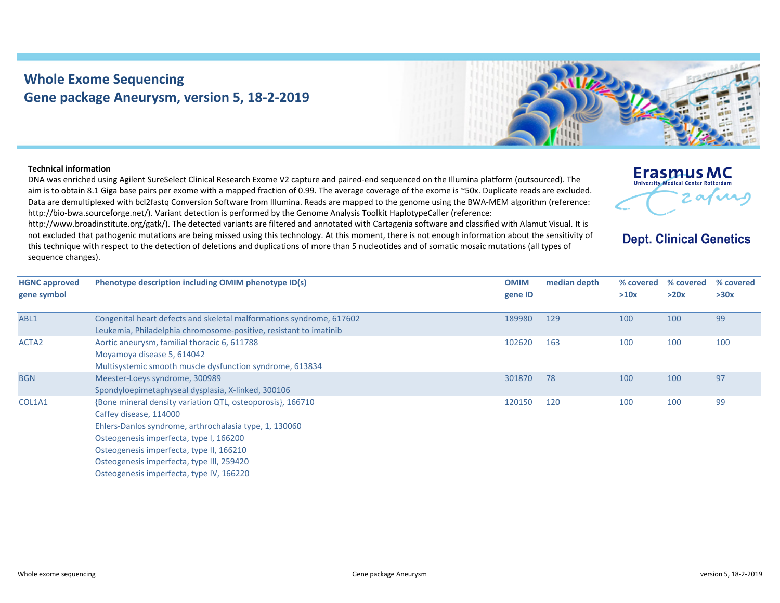## **Whole Exome Sequencing Gene package Aneurysm, version 5, 18‐2‐2019**



## **Technical information**

DNA was enriched using Agilent SureSelect Clinical Research Exome V2 capture and paired‐end sequenced on the Illumina platform (outsourced). The aim is to obtain 8.1 Giga base pairs per exome with <sup>a</sup> mapped fraction of 0.99. The average coverage of the exome is ~50x. Duplicate reads are excluded. Data are demultiplexed with bcl2fastq Conversion Software from Illumina. Reads are mapped to the genome using the BWA‐MEM algorithm (reference: http://bio-bwa.sourceforge.net/). Variant detection is performed by the Genome Analysis Toolkit HaplotypeCaller (reference:

http://www.broadinstitute.org/gatk/). The detected variants are filtered and annotated with Cartagenia software and classified with Alamut Visual. It is not excluded that pathogenic mutations are being missed using this technology. At this moment, there is not enough information about the sensitivity of this technique with respect to the detection of deletions and duplications of more than 5 nucleotides and of somatic mosaic mutations (all types of sequence changes).



## **Dept. Clinical Genetics**

| <b>HGNC approved</b><br>gene symbol | Phenotype description including OMIM phenotype ID(s)                                                                                                                                                                                                                                                                           | <b>OMIM</b><br>gene ID | median depth | % covered<br>>10x | % covered<br>>20x | % covered<br>>30x |
|-------------------------------------|--------------------------------------------------------------------------------------------------------------------------------------------------------------------------------------------------------------------------------------------------------------------------------------------------------------------------------|------------------------|--------------|-------------------|-------------------|-------------------|
| ABL1                                | Congenital heart defects and skeletal malformations syndrome, 617602<br>Leukemia, Philadelphia chromosome-positive, resistant to imatinib                                                                                                                                                                                      | 189980                 | 129          | 100               | 100               | 99                |
| ACTA <sub>2</sub>                   | Aortic aneurysm, familial thoracic 6, 611788<br>Moyamoya disease 5, 614042<br>Multisystemic smooth muscle dysfunction syndrome, 613834                                                                                                                                                                                         | 102620                 | 163          | 100               | 100               | 100               |
| <b>BGN</b>                          | Meester-Loeys syndrome, 300989<br>Spondyloepimetaphyseal dysplasia, X-linked, 300106                                                                                                                                                                                                                                           | 301870                 | 78           | 100               | 100               | 97                |
| COL1A1                              | {Bone mineral density variation QTL, osteoporosis}, 166710<br>Caffey disease, 114000<br>Ehlers-Danlos syndrome, arthrochalasia type, 1, 130060<br>Osteogenesis imperfecta, type I, 166200<br>Osteogenesis imperfecta, type II, 166210<br>Osteogenesis imperfecta, type III, 259420<br>Osteogenesis imperfecta, type IV, 166220 | 120150                 | 120          | 100               | 100               | 99                |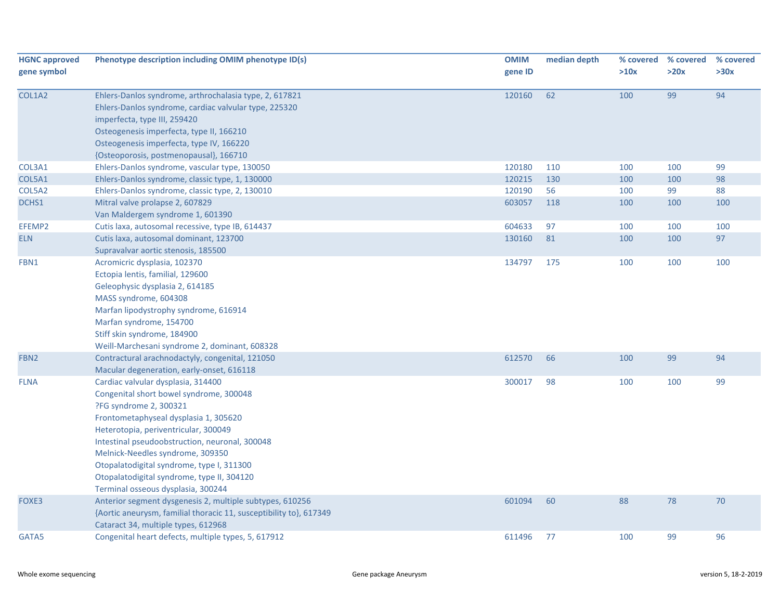| <b>HGNC approved</b><br>gene symbol | Phenotype description including OMIM phenotype ID(s)                                                                                                                                                                                                                                                                                                                                                            | <b>OMIM</b><br>gene ID | median depth | % covered<br>>10x | % covered<br>>20x | % covered<br>>30x |
|-------------------------------------|-----------------------------------------------------------------------------------------------------------------------------------------------------------------------------------------------------------------------------------------------------------------------------------------------------------------------------------------------------------------------------------------------------------------|------------------------|--------------|-------------------|-------------------|-------------------|
| COL1A2                              | Ehlers-Danlos syndrome, arthrochalasia type, 2, 617821<br>Ehlers-Danlos syndrome, cardiac valvular type, 225320<br>imperfecta, type III, 259420<br>Osteogenesis imperfecta, type II, 166210<br>Osteogenesis imperfecta, type IV, 166220<br>{Osteoporosis, postmenopausal}, 166710                                                                                                                               | 120160                 | 62           | 100               | 99                | 94                |
| COL3A1                              | Ehlers-Danlos syndrome, vascular type, 130050                                                                                                                                                                                                                                                                                                                                                                   | 120180                 | 110          | 100               | 100               | 99                |
| COL5A1                              | Ehlers-Danlos syndrome, classic type, 1, 130000                                                                                                                                                                                                                                                                                                                                                                 | 120215                 | 130          | 100               | 100               | 98                |
| COL5A2                              | Ehlers-Danlos syndrome, classic type, 2, 130010                                                                                                                                                                                                                                                                                                                                                                 | 120190                 | 56           | 100               | 99                | 88                |
| DCHS1                               | Mitral valve prolapse 2, 607829                                                                                                                                                                                                                                                                                                                                                                                 | 603057                 | 118          | 100               | 100               | 100               |
|                                     | Van Maldergem syndrome 1, 601390                                                                                                                                                                                                                                                                                                                                                                                |                        |              |                   |                   |                   |
| EFEMP2                              | Cutis laxa, autosomal recessive, type IB, 614437                                                                                                                                                                                                                                                                                                                                                                | 604633                 | 97           | 100               | 100               | 100               |
| <b>ELN</b>                          | Cutis laxa, autosomal dominant, 123700<br>Supravalvar aortic stenosis, 185500                                                                                                                                                                                                                                                                                                                                   | 130160                 | 81           | 100               | 100               | 97                |
| FBN1                                | Acromicric dysplasia, 102370<br>Ectopia lentis, familial, 129600<br>Geleophysic dysplasia 2, 614185<br>MASS syndrome, 604308<br>Marfan lipodystrophy syndrome, 616914<br>Marfan syndrome, 154700<br>Stiff skin syndrome, 184900<br>Weill-Marchesani syndrome 2, dominant, 608328                                                                                                                                | 134797                 | 175          | 100               | 100               | 100               |
| FBN <sub>2</sub>                    | Contractural arachnodactyly, congenital, 121050<br>Macular degeneration, early-onset, 616118                                                                                                                                                                                                                                                                                                                    | 612570                 | 66           | 100               | 99                | 94                |
| <b>FLNA</b>                         | Cardiac valvular dysplasia, 314400<br>Congenital short bowel syndrome, 300048<br>?FG syndrome 2, 300321<br>Frontometaphyseal dysplasia 1, 305620<br>Heterotopia, periventricular, 300049<br>Intestinal pseudoobstruction, neuronal, 300048<br>Melnick-Needles syndrome, 309350<br>Otopalatodigital syndrome, type I, 311300<br>Otopalatodigital syndrome, type II, 304120<br>Terminal osseous dysplasia, 300244 | 300017                 | 98           | 100               | 100               | 99                |
| FOXE3                               | Anterior segment dysgenesis 2, multiple subtypes, 610256<br>{Aortic aneurysm, familial thoracic 11, susceptibility to}, 617349                                                                                                                                                                                                                                                                                  | 601094                 | 60           | 88                | 78                | 70                |
| GATA5                               | Cataract 34, multiple types, 612968<br>Congenital heart defects, multiple types, 5, 617912                                                                                                                                                                                                                                                                                                                      | 611496                 | 77           | 100               | 99                | 96                |
|                                     |                                                                                                                                                                                                                                                                                                                                                                                                                 |                        |              |                   |                   |                   |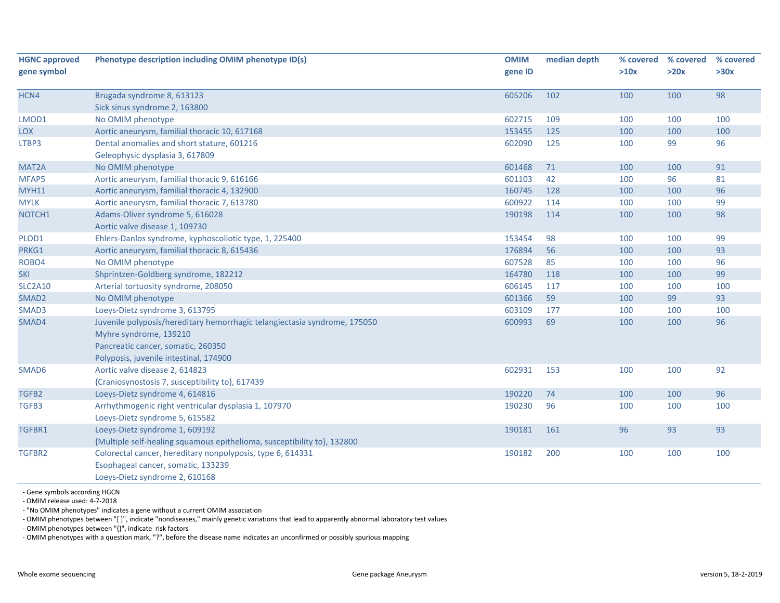| gene ID<br>>10x<br>>20x<br>>30x<br>98<br>HCN4<br>Brugada syndrome 8, 613123<br>605206<br>102<br>100<br>100<br>Sick sinus syndrome 2, 163800<br>No OMIM phenotype<br>602715<br>109<br>100<br>100<br>100<br>Aortic aneurysm, familial thoracic 10, 617168<br>100<br>153455<br>125<br>100<br>100<br>Dental anomalies and short stature, 601216<br>602090<br>96<br>125<br>100<br>99<br>Geleophysic dysplasia 3, 617809<br>601468<br>100<br>100<br>91<br>No OMIM phenotype<br>71<br>Aortic aneurysm, familial thoracic 9, 616166<br>601103<br>42<br>96<br>81<br>100<br>96<br>Aortic aneurysm, familial thoracic 4, 132900<br>160745<br>128<br>100<br>100<br>600922<br>99<br>Aortic aneurysm, familial thoracic 7, 613780<br>114<br>100<br>100<br>190198<br>98<br>Adams-Oliver syndrome 5, 616028<br>114<br>100<br>100<br>Aortic valve disease 1, 109730<br>153454<br>98<br>100<br>99<br>Ehlers-Danlos syndrome, kyphoscoliotic type, 1, 225400<br>100<br>176894<br>93<br>Aortic aneurysm, familial thoracic 8, 615436<br>56<br>100<br>100<br>607528<br>96<br>No OMIM phenotype<br>85<br>100<br>100<br>99<br>Shprintzen-Goldberg syndrome, 182212<br>164780<br>118<br>100<br>100<br>Arterial tortuosity syndrome, 208050<br>606145<br>100<br>100<br>117<br>100<br>99<br>No OMIM phenotype<br>601366<br>59<br>93<br>100<br>Loeys-Dietz syndrome 3, 613795<br>603109<br>177<br>100<br>100<br>100<br>Juvenile polyposis/hereditary hemorrhagic telangiectasia syndrome, 175050<br>600993<br>69<br>100<br>96<br>100<br>Myhre syndrome, 139210<br>Pancreatic cancer, somatic, 260350<br>Polyposis, juvenile intestinal, 174900<br>92<br>Aortic valve disease 2, 614823<br>602931<br>153<br>100<br>SMAD6<br>100<br>{Craniosynostosis 7, susceptibility to}, 617439<br>96<br>TGFB2<br>Loeys-Dietz syndrome 4, 614816<br>190220<br>74<br>100<br>100<br>190230<br>TGFB3<br>Arrhythmogenic right ventricular dysplasia 1, 107970<br>96<br>100<br>100<br>100<br>Loeys-Dietz syndrome 5, 615582<br>Loeys-Dietz syndrome 1, 609192<br>190181<br>93<br>93<br>TGFBR1<br>161<br>96<br>{Multiple self-healing squamous epithelioma, susceptibility to}, 132800<br>190182<br>200<br>100<br>TGFBR2<br>Colorectal cancer, hereditary nonpolyposis, type 6, 614331<br>100<br>100 | <b>HGNC approved</b> | Phenotype description including OMIM phenotype ID(s) | <b>OMIM</b> | median depth | % covered | % covered | % covered |
|-------------------------------------------------------------------------------------------------------------------------------------------------------------------------------------------------------------------------------------------------------------------------------------------------------------------------------------------------------------------------------------------------------------------------------------------------------------------------------------------------------------------------------------------------------------------------------------------------------------------------------------------------------------------------------------------------------------------------------------------------------------------------------------------------------------------------------------------------------------------------------------------------------------------------------------------------------------------------------------------------------------------------------------------------------------------------------------------------------------------------------------------------------------------------------------------------------------------------------------------------------------------------------------------------------------------------------------------------------------------------------------------------------------------------------------------------------------------------------------------------------------------------------------------------------------------------------------------------------------------------------------------------------------------------------------------------------------------------------------------------------------------------------------------------------------------------------------------------------------------------------------------------------------------------------------------------------------------------------------------------------------------------------------------------------------------------------------------------------------------------------------------------------------------------------------------------------------------------------------------------------|----------------------|------------------------------------------------------|-------------|--------------|-----------|-----------|-----------|
|                                                                                                                                                                                                                                                                                                                                                                                                                                                                                                                                                                                                                                                                                                                                                                                                                                                                                                                                                                                                                                                                                                                                                                                                                                                                                                                                                                                                                                                                                                                                                                                                                                                                                                                                                                                                                                                                                                                                                                                                                                                                                                                                                                                                                                                       | gene symbol          |                                                      |             |              |           |           |           |
|                                                                                                                                                                                                                                                                                                                                                                                                                                                                                                                                                                                                                                                                                                                                                                                                                                                                                                                                                                                                                                                                                                                                                                                                                                                                                                                                                                                                                                                                                                                                                                                                                                                                                                                                                                                                                                                                                                                                                                                                                                                                                                                                                                                                                                                       |                      |                                                      |             |              |           |           |           |
|                                                                                                                                                                                                                                                                                                                                                                                                                                                                                                                                                                                                                                                                                                                                                                                                                                                                                                                                                                                                                                                                                                                                                                                                                                                                                                                                                                                                                                                                                                                                                                                                                                                                                                                                                                                                                                                                                                                                                                                                                                                                                                                                                                                                                                                       |                      |                                                      |             |              |           |           |           |
|                                                                                                                                                                                                                                                                                                                                                                                                                                                                                                                                                                                                                                                                                                                                                                                                                                                                                                                                                                                                                                                                                                                                                                                                                                                                                                                                                                                                                                                                                                                                                                                                                                                                                                                                                                                                                                                                                                                                                                                                                                                                                                                                                                                                                                                       | LMOD1                |                                                      |             |              |           |           |           |
|                                                                                                                                                                                                                                                                                                                                                                                                                                                                                                                                                                                                                                                                                                                                                                                                                                                                                                                                                                                                                                                                                                                                                                                                                                                                                                                                                                                                                                                                                                                                                                                                                                                                                                                                                                                                                                                                                                                                                                                                                                                                                                                                                                                                                                                       | <b>LOX</b>           |                                                      |             |              |           |           |           |
|                                                                                                                                                                                                                                                                                                                                                                                                                                                                                                                                                                                                                                                                                                                                                                                                                                                                                                                                                                                                                                                                                                                                                                                                                                                                                                                                                                                                                                                                                                                                                                                                                                                                                                                                                                                                                                                                                                                                                                                                                                                                                                                                                                                                                                                       | LTBP3                |                                                      |             |              |           |           |           |
|                                                                                                                                                                                                                                                                                                                                                                                                                                                                                                                                                                                                                                                                                                                                                                                                                                                                                                                                                                                                                                                                                                                                                                                                                                                                                                                                                                                                                                                                                                                                                                                                                                                                                                                                                                                                                                                                                                                                                                                                                                                                                                                                                                                                                                                       |                      |                                                      |             |              |           |           |           |
|                                                                                                                                                                                                                                                                                                                                                                                                                                                                                                                                                                                                                                                                                                                                                                                                                                                                                                                                                                                                                                                                                                                                                                                                                                                                                                                                                                                                                                                                                                                                                                                                                                                                                                                                                                                                                                                                                                                                                                                                                                                                                                                                                                                                                                                       | MAT2A                |                                                      |             |              |           |           |           |
|                                                                                                                                                                                                                                                                                                                                                                                                                                                                                                                                                                                                                                                                                                                                                                                                                                                                                                                                                                                                                                                                                                                                                                                                                                                                                                                                                                                                                                                                                                                                                                                                                                                                                                                                                                                                                                                                                                                                                                                                                                                                                                                                                                                                                                                       | MFAP5                |                                                      |             |              |           |           |           |
|                                                                                                                                                                                                                                                                                                                                                                                                                                                                                                                                                                                                                                                                                                                                                                                                                                                                                                                                                                                                                                                                                                                                                                                                                                                                                                                                                                                                                                                                                                                                                                                                                                                                                                                                                                                                                                                                                                                                                                                                                                                                                                                                                                                                                                                       | <b>MYH11</b>         |                                                      |             |              |           |           |           |
|                                                                                                                                                                                                                                                                                                                                                                                                                                                                                                                                                                                                                                                                                                                                                                                                                                                                                                                                                                                                                                                                                                                                                                                                                                                                                                                                                                                                                                                                                                                                                                                                                                                                                                                                                                                                                                                                                                                                                                                                                                                                                                                                                                                                                                                       | <b>MYLK</b>          |                                                      |             |              |           |           |           |
|                                                                                                                                                                                                                                                                                                                                                                                                                                                                                                                                                                                                                                                                                                                                                                                                                                                                                                                                                                                                                                                                                                                                                                                                                                                                                                                                                                                                                                                                                                                                                                                                                                                                                                                                                                                                                                                                                                                                                                                                                                                                                                                                                                                                                                                       | NOTCH1               |                                                      |             |              |           |           |           |
|                                                                                                                                                                                                                                                                                                                                                                                                                                                                                                                                                                                                                                                                                                                                                                                                                                                                                                                                                                                                                                                                                                                                                                                                                                                                                                                                                                                                                                                                                                                                                                                                                                                                                                                                                                                                                                                                                                                                                                                                                                                                                                                                                                                                                                                       |                      |                                                      |             |              |           |           |           |
|                                                                                                                                                                                                                                                                                                                                                                                                                                                                                                                                                                                                                                                                                                                                                                                                                                                                                                                                                                                                                                                                                                                                                                                                                                                                                                                                                                                                                                                                                                                                                                                                                                                                                                                                                                                                                                                                                                                                                                                                                                                                                                                                                                                                                                                       | PLOD1                |                                                      |             |              |           |           |           |
|                                                                                                                                                                                                                                                                                                                                                                                                                                                                                                                                                                                                                                                                                                                                                                                                                                                                                                                                                                                                                                                                                                                                                                                                                                                                                                                                                                                                                                                                                                                                                                                                                                                                                                                                                                                                                                                                                                                                                                                                                                                                                                                                                                                                                                                       | PRKG1                |                                                      |             |              |           |           |           |
|                                                                                                                                                                                                                                                                                                                                                                                                                                                                                                                                                                                                                                                                                                                                                                                                                                                                                                                                                                                                                                                                                                                                                                                                                                                                                                                                                                                                                                                                                                                                                                                                                                                                                                                                                                                                                                                                                                                                                                                                                                                                                                                                                                                                                                                       | ROBO4                |                                                      |             |              |           |           |           |
|                                                                                                                                                                                                                                                                                                                                                                                                                                                                                                                                                                                                                                                                                                                                                                                                                                                                                                                                                                                                                                                                                                                                                                                                                                                                                                                                                                                                                                                                                                                                                                                                                                                                                                                                                                                                                                                                                                                                                                                                                                                                                                                                                                                                                                                       | <b>SKI</b>           |                                                      |             |              |           |           |           |
|                                                                                                                                                                                                                                                                                                                                                                                                                                                                                                                                                                                                                                                                                                                                                                                                                                                                                                                                                                                                                                                                                                                                                                                                                                                                                                                                                                                                                                                                                                                                                                                                                                                                                                                                                                                                                                                                                                                                                                                                                                                                                                                                                                                                                                                       | <b>SLC2A10</b>       |                                                      |             |              |           |           |           |
|                                                                                                                                                                                                                                                                                                                                                                                                                                                                                                                                                                                                                                                                                                                                                                                                                                                                                                                                                                                                                                                                                                                                                                                                                                                                                                                                                                                                                                                                                                                                                                                                                                                                                                                                                                                                                                                                                                                                                                                                                                                                                                                                                                                                                                                       | SMAD <sub>2</sub>    |                                                      |             |              |           |           |           |
|                                                                                                                                                                                                                                                                                                                                                                                                                                                                                                                                                                                                                                                                                                                                                                                                                                                                                                                                                                                                                                                                                                                                                                                                                                                                                                                                                                                                                                                                                                                                                                                                                                                                                                                                                                                                                                                                                                                                                                                                                                                                                                                                                                                                                                                       | SMAD3                |                                                      |             |              |           |           |           |
|                                                                                                                                                                                                                                                                                                                                                                                                                                                                                                                                                                                                                                                                                                                                                                                                                                                                                                                                                                                                                                                                                                                                                                                                                                                                                                                                                                                                                                                                                                                                                                                                                                                                                                                                                                                                                                                                                                                                                                                                                                                                                                                                                                                                                                                       | SMAD4                |                                                      |             |              |           |           |           |
|                                                                                                                                                                                                                                                                                                                                                                                                                                                                                                                                                                                                                                                                                                                                                                                                                                                                                                                                                                                                                                                                                                                                                                                                                                                                                                                                                                                                                                                                                                                                                                                                                                                                                                                                                                                                                                                                                                                                                                                                                                                                                                                                                                                                                                                       |                      |                                                      |             |              |           |           |           |
|                                                                                                                                                                                                                                                                                                                                                                                                                                                                                                                                                                                                                                                                                                                                                                                                                                                                                                                                                                                                                                                                                                                                                                                                                                                                                                                                                                                                                                                                                                                                                                                                                                                                                                                                                                                                                                                                                                                                                                                                                                                                                                                                                                                                                                                       |                      |                                                      |             |              |           |           |           |
|                                                                                                                                                                                                                                                                                                                                                                                                                                                                                                                                                                                                                                                                                                                                                                                                                                                                                                                                                                                                                                                                                                                                                                                                                                                                                                                                                                                                                                                                                                                                                                                                                                                                                                                                                                                                                                                                                                                                                                                                                                                                                                                                                                                                                                                       |                      |                                                      |             |              |           |           |           |
|                                                                                                                                                                                                                                                                                                                                                                                                                                                                                                                                                                                                                                                                                                                                                                                                                                                                                                                                                                                                                                                                                                                                                                                                                                                                                                                                                                                                                                                                                                                                                                                                                                                                                                                                                                                                                                                                                                                                                                                                                                                                                                                                                                                                                                                       |                      |                                                      |             |              |           |           |           |
|                                                                                                                                                                                                                                                                                                                                                                                                                                                                                                                                                                                                                                                                                                                                                                                                                                                                                                                                                                                                                                                                                                                                                                                                                                                                                                                                                                                                                                                                                                                                                                                                                                                                                                                                                                                                                                                                                                                                                                                                                                                                                                                                                                                                                                                       |                      |                                                      |             |              |           |           |           |
|                                                                                                                                                                                                                                                                                                                                                                                                                                                                                                                                                                                                                                                                                                                                                                                                                                                                                                                                                                                                                                                                                                                                                                                                                                                                                                                                                                                                                                                                                                                                                                                                                                                                                                                                                                                                                                                                                                                                                                                                                                                                                                                                                                                                                                                       |                      |                                                      |             |              |           |           |           |
|                                                                                                                                                                                                                                                                                                                                                                                                                                                                                                                                                                                                                                                                                                                                                                                                                                                                                                                                                                                                                                                                                                                                                                                                                                                                                                                                                                                                                                                                                                                                                                                                                                                                                                                                                                                                                                                                                                                                                                                                                                                                                                                                                                                                                                                       |                      |                                                      |             |              |           |           |           |
|                                                                                                                                                                                                                                                                                                                                                                                                                                                                                                                                                                                                                                                                                                                                                                                                                                                                                                                                                                                                                                                                                                                                                                                                                                                                                                                                                                                                                                                                                                                                                                                                                                                                                                                                                                                                                                                                                                                                                                                                                                                                                                                                                                                                                                                       |                      |                                                      |             |              |           |           |           |
|                                                                                                                                                                                                                                                                                                                                                                                                                                                                                                                                                                                                                                                                                                                                                                                                                                                                                                                                                                                                                                                                                                                                                                                                                                                                                                                                                                                                                                                                                                                                                                                                                                                                                                                                                                                                                                                                                                                                                                                                                                                                                                                                                                                                                                                       |                      |                                                      |             |              |           |           |           |
|                                                                                                                                                                                                                                                                                                                                                                                                                                                                                                                                                                                                                                                                                                                                                                                                                                                                                                                                                                                                                                                                                                                                                                                                                                                                                                                                                                                                                                                                                                                                                                                                                                                                                                                                                                                                                                                                                                                                                                                                                                                                                                                                                                                                                                                       |                      |                                                      |             |              |           |           |           |
| Esophageal cancer, somatic, 133239                                                                                                                                                                                                                                                                                                                                                                                                                                                                                                                                                                                                                                                                                                                                                                                                                                                                                                                                                                                                                                                                                                                                                                                                                                                                                                                                                                                                                                                                                                                                                                                                                                                                                                                                                                                                                                                                                                                                                                                                                                                                                                                                                                                                                    |                      |                                                      |             |              |           |           |           |
| Loeys-Dietz syndrome 2, 610168                                                                                                                                                                                                                                                                                                                                                                                                                                                                                                                                                                                                                                                                                                                                                                                                                                                                                                                                                                                                                                                                                                                                                                                                                                                                                                                                                                                                                                                                                                                                                                                                                                                                                                                                                                                                                                                                                                                                                                                                                                                                                                                                                                                                                        |                      |                                                      |             |              |           |           |           |

‐ Gene symbols according HGCN

‐ OMIM release used: 4‐7‐2018

‐ "No OMIM phenotypes" indicates <sup>a</sup> gene without <sup>a</sup> current OMIM association

‐ OMIM phenotypes between "[ ]", indicate "nondiseases," mainly genetic variations that lead to apparently abnormal laboratory test values

‐ OMIM phenotypes between "{}", indicate risk factors

‐ OMIM phenotypes with <sup>a</sup> question mark, "?", before the disease name indicates an unconfirmed or possibly spurious mapping